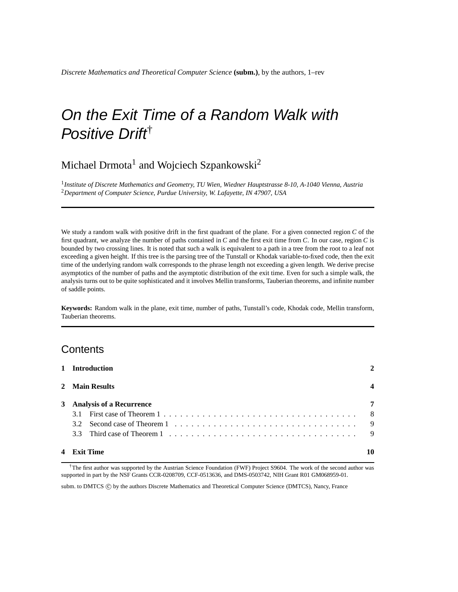# On the Exit Time of a Random Walk with Positive Drift<sup>†</sup>

# Michael Drmota $^1$  and Wojciech Szpankowski<sup>2</sup>

1 *Institute of Discrete Mathematics and Geometry, TU Wien, Wiedner Hauptstrasse 8-10, A-1040 Vienna, Austria* <sup>2</sup>*Department of Computer Science, Purdue University, W. Lafayette, IN 47907, USA*

We study a random walk with positive drift in the first quadrant of the plane. For a given connected region *C* of the first quadrant, we analyze the number of paths contained in *C* and the first exit time from *C*. In our case, region *C* is bounded by two crossing lines. It is noted that such a walk is equivalent to a path in a tree from the root to a leaf not exceeding a given height. If this tree is the parsing tree of the Tunstall or Khodak variable-to-fixed code, then the exit time of the underlying random walk corresponds to the phrase length not exceeding a given length. We derive precise asymptotics of the number of paths and the asymptotic distribution of the exit time. Even for such a simple walk, the analysis turns out to be quite sophisticated and it involves Mellin transforms, Tauberian theorems, and infinite number of saddle points.

**Keywords:** Random walk in the plane, exit time, number of paths, Tunstall's code, Khodak code, Mellin transform, Tauberian theorems.

# **Contents**

| 1 Introduction             |     |  |  |  |  |  |  |  |  |  |  |  |  |  |
|----------------------------|-----|--|--|--|--|--|--|--|--|--|--|--|--|--|
| 2 Main Results             |     |  |  |  |  |  |  |  |  |  |  |  |  |  |
| 3 Analysis of a Recurrence | 7   |  |  |  |  |  |  |  |  |  |  |  |  |  |
|                            | - 8 |  |  |  |  |  |  |  |  |  |  |  |  |  |
|                            |     |  |  |  |  |  |  |  |  |  |  |  |  |  |
|                            |     |  |  |  |  |  |  |  |  |  |  |  |  |  |
| 4 Exit Time                |     |  |  |  |  |  |  |  |  |  |  |  |  |  |

†The first author was supported by the Austrian Science Foundation (FWF) Project S9604. The work of the second author was supported in part by the NSF Grants CCR-0208709, CCF-0513636, and DMS-0503742, NIH Grant R01 GM068959-01.

subm. to DMTCS © by the authors Discrete Mathematics and Theoretical Computer Science (DMTCS), Nancy, France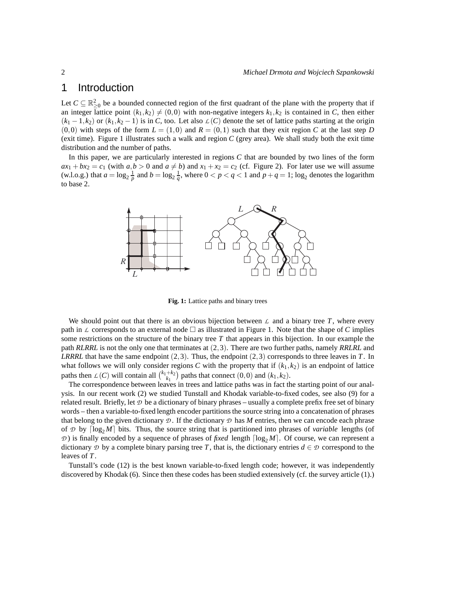# 1 Introduction

Let  $C \subseteq \mathbb{R}^2_{\geq 0}$  be a bounded connected region of the first quadrant of the plane with the property that if an integer lattice point  $(k_1, k_2) \neq (0,0)$  with non-negative integers  $k_1, k_2$  is contained in *C*, then either  $(k_1 - 1, k_2)$  or  $(k_1, k_2 - 1)$  is in *C*, too. Let also  $\mathcal{L}(C)$  denote the set of lattice paths starting at the origin  $(0,0)$  with steps of the form  $L = (1,0)$  and  $R = (0,1)$  such that they exit region C at the last step D (exit time). Figure 1 illustrates such a walk and region *C* (grey area). We shall study both the exit time distribution and the number of paths.

In this paper, we are particularly interested in regions *C* that are bounded by two lines of the form  $ax_1 + bx_2 = c_1$  (with  $a, b > 0$  and  $a \neq b$ ) and  $x_1 + x_2 = c_2$  (cf. Figure 2). For later use we will assume (w.l.o.g.) that  $a = \log_2 \frac{1}{p}$  and  $b = \log_2 \frac{1}{q}$ , where  $0 < p < q < 1$  and  $p + q = 1$ ; log<sub>2</sub> denotes the logarithm to base 2.



**Fig. 1:** Lattice paths and binary trees

We should point out that there is an obvious bijection between  $\mathcal L$  and a binary tree  $T$ , where every path in  $\mathcal L$  corresponds to an external node  $\Box$  as illustrated in Figure 1. Note that the shape of *C* implies some restrictions on the structure of the binary tree *T* that appears in this bijection. In our example the path *RLRRL* is not the only one that terminates at (2,3). There are two further paths, namely *RRLRL* and *LRRRL* that have the same endpoint (2,3). Thus, the endpoint (2,3) corresponds to three leaves in *T*. In what follows we will only consider regions *C* with the property that if  $(k_1, k_2)$  is an endpoint of lattice paths then  $L(C)$  will contain all  $\binom{k_1+k_2}{k_1}$  paths that connect  $(0,0)$  and  $(k_1, k_2)$ .

The correspondence between leaves in trees and lattice paths was in fact the starting point of our analysis. In our recent work (2) we studied Tunstall and Khodak variable-to-fixed codes, see also (9) for a related result. Briefly, let  $D$  be a dictionary of binary phrases – usually a complete prefix free set of binary words – then a variable-to-fixed length encoder partitions the source string into a concatenation of phrases that belong to the given dictionary  $\mathcal D$ . If the dictionary  $\mathcal D$  has M entries, then we can encode each phrase of  $\mathcal{D}$  by  $\lceil \log_2 M \rceil$  bits. Thus, the source string that is partitioned into phrases of *variable* lengths (of  $D$ ) is finally encoded by a sequence of phrases of *fixed* length  $\lceil \log_2 M \rceil$ . Of course, we can represent a dictionary  $D$  by a complete binary parsing tree *T*, that is, the dictionary entries  $d \in D$  correspond to the leaves of *T*.

Tunstall's code (12) is the best known variable-to-fixed length code; however, it was independently discovered by Khodak (6). Since then these codes has been studied extensively (cf. the survey article (1).)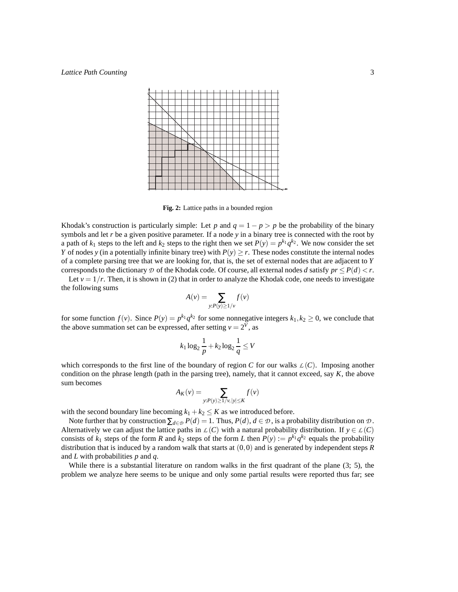

**Fig. 2:** Lattice paths in a bounded region

Khodak's construction is particularly simple: Let *p* and  $q = 1 - p > p$  be the probability of the binary symbols and let *r* be a given positive parameter. If a node *y* in a binary tree is connected with the root by a path of  $k_1$  steps to the left and  $k_2$  steps to the right then we set  $P(y) = p^{k_1}q^{k_2}$ . We now consider the set *Y* of nodes *y* (in a potentially infinite binary tree) with  $P(y) \ge r$ . These nodes constitute the internal nodes of a complete parsing tree that we are looking for, that is, the set of external nodes that are adjacent to *Y* corresponds to the dictionary  $\mathcal D$  of the Khodak code. Of course, all external nodes *d* satisfy  $pr \leq P(d) \leq r$ .

Let  $v = 1/r$ . Then, it is shown in (2) that in order to analyze the Khodak code, one needs to investigate the following sums

$$
A(v) = \sum_{y: P(y) \ge 1/v} f(v)
$$

for some function  $f(v)$ . Since  $P(y) = p^{k_1} q^{k_2}$  for some nonnegative integers  $k_1, k_2 \ge 0$ , we conclude that the above summation set can be expressed, after setting  $v = 2^V$ , as

$$
k_1 \log_2 \frac{1}{p} + k_2 \log_2 \frac{1}{q} \le V
$$

which corresponds to the first line of the boundary of region *C* for our walks  $\mathcal{L}(C)$ . Imposing another condition on the phrase length (path in the parsing tree), namely, that it cannot exceed, say *K*, the above sum becomes

$$
A_K(v) = \sum_{y: P(y) \ge 1/v, |y| \le K} f(v)
$$

with the second boundary line becoming  $k_1 + k_2 \leq K$  as we introduced before.

Note further that by construction  $\sum_{d \in \mathcal{D}} P(d) = 1$ . Thus,  $P(d)$ ,  $d \in \mathcal{D}$ , is a probability distribution on  $\mathcal{D}$ . Alternatively we can adjust the lattice paths in  $\mathcal{L}(C)$  with a natural probability distribution. If  $y \in \mathcal{L}(C)$ consists of  $k_1$  steps of the form *R* and  $k_2$  steps of the form *L* then  $P(y) := p^{k_1} q^{k_2}$  equals the probability distribution that is induced by a random walk that starts at (0,0) and is generated by independent steps *R* and *L* with probabilities *p* and *q*.

While there is a substantial literature on random walks in the first quadrant of the plane (3; 5), the problem we analyze here seems to be unique and only some partial results were reported thus far; see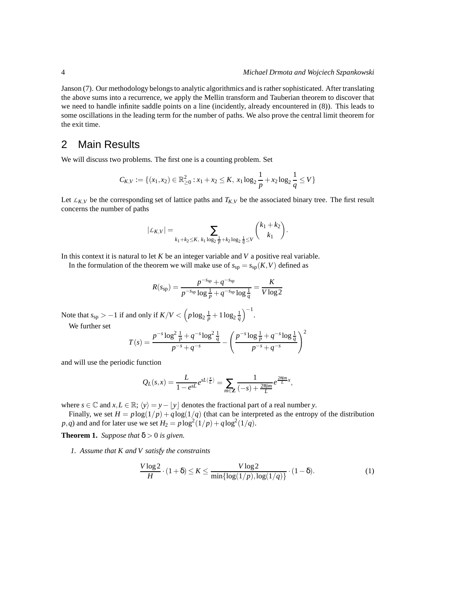Janson (7). Our methodology belongs to analytic algorithmics and is rather sophisticated. After translating the above sums into a recurrence, we apply the Mellin transform and Tauberian theorem to discover that we need to handle infinite saddle points on a line (incidently, already encountered in (8)). This leads to some oscillations in the leading term for the number of paths. We also prove the central limit theorem for the exit time.

# 2 Main Results

We will discuss two problems. The first one is a counting problem. Set

$$
C_{K,V} := \{ (x_1,x_2) \in \mathbb{R}^2_{\geq 0} : x_1 + x_2 \leq K, x_1 \log_2 \frac{1}{p} + x_2 \log_2 \frac{1}{q} \leq V \}
$$

Let  $L_{K,V}$  be the corresponding set of lattice paths and  $T_{K,V}$  be the associated binary tree. The first result concerns the number of paths

$$
|\mathcal{L}_{K,V}| = \sum_{k_1 + k_2 \leq K, k_1 \log_2 \frac{1}{p} + k_2 \log_2 \frac{1}{q} \leq V} {k_1 + k_2 \choose k_1}.
$$

In this context it is natural to let *K* be an integer variable and *V* a positive real variable.

In the formulation of the theorem we will make use of  $s_{sp} = s_{sp}(K, V)$  defined as

$$
R(s_{sp}) = \frac{p^{-s_{sp}} + q^{-s_{sp}}}{p^{-s_{sp}} \log \frac{1}{p} + q^{-s_{sp}} \log \frac{1}{q}} = \frac{K}{V \log 2}
$$

Note that  $s_{sp} > -1$  if and only if  $K/V < (p \log_2 \frac{1}{p} + 1 \log_2 \frac{1}{q})^{-1}$ . We further set

$$
T(s) = \frac{p^{-s} \log^2 \frac{1}{p} + q^{-s} \log^2 \frac{1}{q}}{p^{-s} + q^{-s}} - \left(\frac{p^{-s} \log \frac{1}{p} + q^{-s} \log \frac{1}{q}}{p^{-s} + q^{-s}}\right)^2
$$

and will use the periodic function

$$
Q_L(s,x) = \frac{L}{1 - e^{sL}} e^{sL\langle \frac{x}{L} \rangle} = \sum_{m \in \mathbb{Z}} \frac{1}{(-s) + \frac{2\pi im}{L}} e^{\frac{2\pi im}{L}x},
$$

where  $s \in \mathbb{C}$  and  $x, L \in \mathbb{R}$ ;  $\langle y \rangle = y - \lfloor y \rfloor$  denotes the fractional part of a real number *y*.

Finally, we set  $H = p \log(1/p) + q \log(1/q)$  (that can be interpreted as the entropy of the distribution  $p$ ,*q*) and and for later use we set  $H_2 = p \log^2(1/p) + q \log^2(1/q)$ .

**Theorem 1.** *Suppose that*  $\delta > 0$  *is given.* 

*1. Assume that K and V satisfy the constraints*

$$
\frac{V \log 2}{H} \cdot (1+\delta) \le K \le \frac{V \log 2}{\min\{\log(1/p), \log(1/q)\}} \cdot (1-\delta). \tag{1}
$$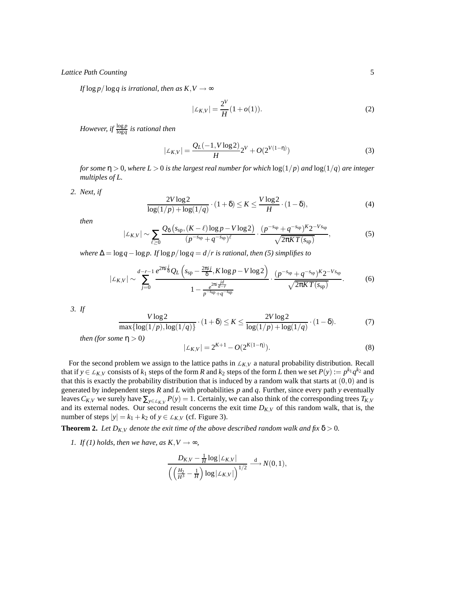*If*  $\log p / \log q$  *is irrational, then as K,V*  $\rightarrow \infty$ 

$$
|\mathcal{L}_{K,V}| = \frac{2^V}{H}(1+o(1)).
$$
 (2)

*However, if*  $\frac{\log p}{\log q}$  *is rational then* 

$$
|\mathcal{L}_{K,V}| = \frac{Q_L(-1,V\log 2)}{H} 2^V + O(2^{V(1-\eta)})
$$
\n(3)

*for some*  $\eta > 0$ *, where*  $L > 0$  *is the largest real number for which*  $\log(1/p)$  *and*  $\log(1/q)$  *are integer multiples of L.*

*2. Next, if*

$$
\frac{2V\log 2}{\log(1/p) + \log(1/q)} \cdot (1+\delta) \le K \le \frac{V\log 2}{H} \cdot (1-\delta),\tag{4}
$$

*then*

$$
|\mathcal{L}_{K,V}| \sim \sum_{\ell \ge 0} \frac{Q_{\delta} \left( s_{\rm sp}, (K-\ell) \log p - V \log 2 \right)}{(p^{-s_{\rm sp}} + q^{-s_{\rm sp}})^{\ell}} \cdot \frac{(p^{-s_{\rm sp}} + q^{-s_{\rm sp}})^K 2^{-V s_{\rm sp}}}{\sqrt{2\pi K T(s_{\rm sp})}},\tag{5}
$$

*where*  $\Delta = \log q - \log p$ . If  $\log p / \log q = d / r$  is rational, then (5) simplifies to

$$
|\mathcal{L}_{K,V}| \sim \sum_{j=0}^{d-r-1} \frac{e^{2\pi i \frac{j}{8}} Q_L \left(s_{sp} - \frac{2\pi i j}{\delta}, K \log p - V \log 2\right)}{1 - \frac{e^{2\pi i \frac{j d}{d-r}}}{p^{-s_{sp}} + q^{-s_{sp}}}} \cdot \frac{(p^{-s_{sp}} + q^{-s_{sp}})^K 2^{-V s_{sp}}}{\sqrt{2\pi K T(s_{sp})}}.
$$
(6)

*3. If*

$$
\frac{V \log 2}{\max\{\log(1/p), \log(1/q)\}} \cdot (1+\delta) \le K \le \frac{2V \log 2}{\log(1/p) + \log(1/q)} \cdot (1-\delta). \tag{7}
$$

*then (for some*  $\eta > 0$ )

$$
|\mathcal{L}_{K,V}| = 2^{K+1} - O(2^{K(1-\eta)}).
$$
\n(8)

For the second problem we assign to the lattice paths in  $L_{K,V}$  a natural probability distribution. Recall that if  $y \in L_{K,V}$  consists of  $k_1$  steps of the form *R* and  $k_2$  steps of the form *L* then we set  $P(y) := p^{k_1} q^{k_2}$  and that this is exactly the probability distribution that is induced by a random walk that starts at  $(0,0)$  and is generated by independent steps *R* and *L* with probabilities *p* and *q*. Further, since every path *y* eventually leaves  $C_{K,V}$  we surely have  $\sum_{y \in L_{K,V}} P(y) = 1$ . Certainly, we can also think of the corresponding trees  $T_{K,V}$ and its external nodes. Our second result concerns the exit time  $D_{K,V}$  of this random walk, that is, the number of steps  $|y| = k_1 + k_2$  of  $y \in L_{K,V}$  (cf. Figure 3).

**Theorem 2.** Let  $D_{K,V}$  denote the exit time of the above described random walk and fix  $\delta > 0$ .

*1. If* (*1*) *holds, then we have, as*  $K, V \rightarrow \infty$ *,* 

$$
\frac{D_{K,V}-\frac{1}{H}\log|\mathcal{L}_{K,V}|}{\left(\left(\frac{H_2}{H^3}-\frac{1}{H}\right)\log|\mathcal{L}_{K,V}|\right)^{1/2}}\stackrel{\text{d}}{\longrightarrow}N(0,1),
$$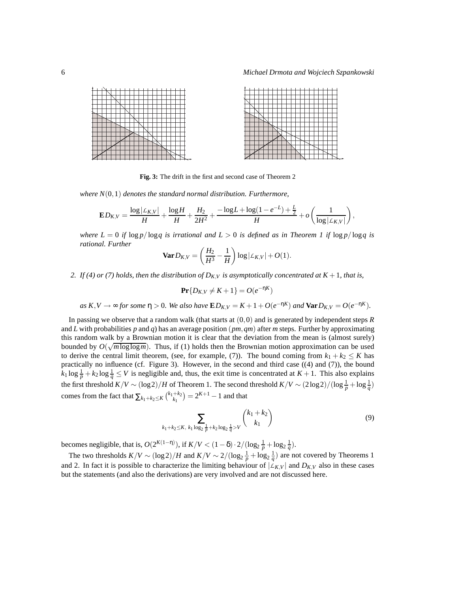| ↽      |   |  |   |  |  |  |  |  |  |  |
|--------|---|--|---|--|--|--|--|--|--|--|
|        |   |  |   |  |  |  |  |  |  |  |
|        |   |  |   |  |  |  |  |  |  |  |
|        |   |  |   |  |  |  |  |  |  |  |
|        |   |  | - |  |  |  |  |  |  |  |
| -      |   |  |   |  |  |  |  |  |  |  |
|        |   |  | ю |  |  |  |  |  |  |  |
|        |   |  |   |  |  |  |  |  |  |  |
|        | ⊷ |  |   |  |  |  |  |  |  |  |
|        |   |  |   |  |  |  |  |  |  |  |
|        |   |  |   |  |  |  |  |  |  |  |
| $\sim$ |   |  |   |  |  |  |  |  |  |  |

**Fig. 3:** The drift in the first and second case of Theorem 2

*where N*(0,1) *denotes the standard normal distribution. Furthermore,*

$$
\mathbf{E} D_{K,V} = \frac{\log |\mathcal{L}_{K,V}|}{H} + \frac{\log H}{H} + \frac{H_2}{2H^2} + \frac{-\log L + \log (1-e^{-L}) + \frac{L}{2}}{H} + o\left(\frac{1}{\log |\mathcal{L}_{K,V}|}\right),
$$

*where*  $L = 0$  *if*  $\log p / \log q$  *is irrational and*  $L > 0$  *is defined as in Theorem 1 if*  $\log p / \log q$  *is rational. Further*

$$
\mathbf{Var} D_{K,V} = \left(\frac{H_2}{H^3} - \frac{1}{H}\right) \log|\mathcal{L}_{K,V}| + O(1).
$$

2. If (4) or (7) holds, then the distribution of  $D_{K,V}$  is asymptotically concentrated at  $K + 1$ , that is,

 $\Pr\{D_{K,V} \neq K+1\} = O(e^{-nK})$ 

as 
$$
K, V \rightarrow \infty
$$
 for some  $\eta > 0$ . We also have  $\mathbf{E}D_{K,V} = K + 1 + O(e^{-\eta K})$  and  $\mathbf{Var}D_{K,V} = O(e^{-\eta K})$ .

In passing we observe that a random walk (that starts at (0,0) and is generated by independent steps *R* and *L* with probabilities *p* and *q*) has an average position (*pm*,*qm*) after *m* steps. Further by approximating this random walk by a Brownian motion it is clear that the deviation from the mean is (almost surely) bounded by  $O(\sqrt{m \log \log m})$ . Thus, if (1) holds then the Brownian motion approximation can be used to derive the central limit theorem, (see, for example, (7)). The bound coming from  $k_1 + k_2 \le K$  has practically no influence (cf. Figure 3). However, in the second and third case ((4) and (7)), the bound  $k_1 \log \frac{1}{p} + k_2 \log \frac{1}{q} \le V$  is negligible and, thus, the exit time is concentrated at  $K + 1$ . This also explains the first threshold  $K/V \sim (\log 2)/H$  of Theorem 1. The second threshold  $K/V \sim (2\log 2)/(\log \frac{1}{p} + \log \frac{1}{q})$ comes from the fact that  $\sum_{k_1+k_2 \le K} {k_1+k_2 \choose k_1} = 2^{K+1} - 1$  and that

$$
\sum_{k_1+k_2 \le K, \ k_1 \log_2 \frac{1}{p} + k_2 \log_2 \frac{1}{q} > V} {k_1 + k_2 \choose k_1} \tag{9}
$$

becomes negligible, that is,  $O(2^{K(1-\eta)})$ , if  $K/V < (1-\delta) \cdot 2/(\log_2 \frac{1}{p} + \log_2 \frac{1}{q})$ .

The two thresholds  $K/V \sim (\log 2)/H$  and  $K/V \sim 2/(\log_2 \frac{1}{p} + \log_2 \frac{1}{q})$  are not covered by Theorems 1 and 2. In fact it is possible to characterize the limiting behaviour of  $|L_{K,V}|$  and  $D_{K,V}$  also in these cases but the statements (and also the derivations) are very involved and are not discussed here.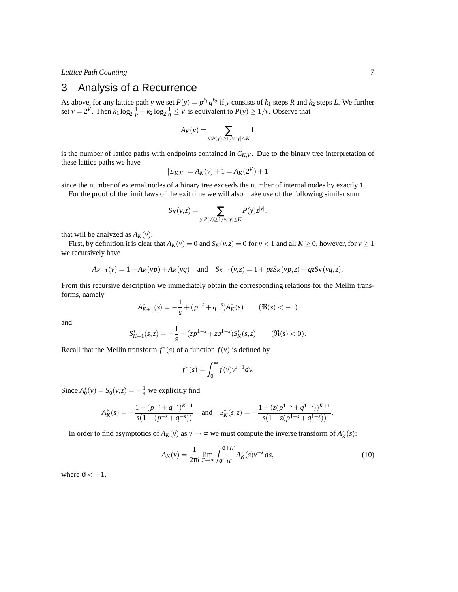*Lattice Path Counting* 7

# 3 Analysis of a Recurrence

As above, for any lattice path *y* we set  $P(y) = p^{k_1} q^{k_2}$  if *y* consists of  $k_1$  steps *R* and  $k_2$  steps *L*. We further set  $v = 2^V$ . Then  $k_1 \log_2 \frac{1}{p} + k_2 \log_2 \frac{1}{q} \leq V$  is equivalent to  $P(y) \geq 1/v$ . Observe that

$$
A_K(v) = \sum_{y: P(y) \ge 1/v, |y| \le K} 1
$$

is the number of lattice paths with endpoints contained in  $C_{K,V}$ . Due to the binary tree interpretation of these lattice paths we have

$$
|\mathcal{L}_{K,V}| = A_K(v) + 1 = A_K(2^V) + 1
$$

since the number of external nodes of a binary tree exceeds the number of internal nodes by exactly 1.

For the proof of the limit laws of the exit time we will also make use of the following similar sum

$$
S_K(v,z)=\sum_{y:P(y)\geq 1/v, |y|\leq K}P(y)z^{|y|}.
$$

that will be analyzed as  $A_K(v)$ .

First, by definition it is clear that  $A_K(v) = 0$  and  $S_K(v, z) = 0$  for  $v < 1$  and all  $K \ge 0$ , however, for  $v \ge 1$ we recursively have

$$
A_{K+1}(v) = 1 + A_K(vp) + A_K(vq) \quad \text{and} \quad S_{K+1}(v,z) = 1 + pzS_K(vp,z) + qzS_K(vq,z).
$$

From this recursive description we immediately obtain the corresponding relations for the Mellin transforms, namely

$$
A_{K+1}^*(s) = -\frac{1}{s} + (p^{-s} + q^{-s})A_K^*(s) \qquad (\Re(s) < -1)
$$

and

$$
S_{K+1}^*(s, z) = -\frac{1}{s} + (zp^{1-s} + zq^{1-s})S_K^*(s, z) \qquad (\Re(s) < 0).
$$

Recall that the Mellin transform  $f^*(s)$  of a function  $f(v)$  is defined by

$$
f^*(s) = \int_0^\infty f(v)v^{s-1}dv.
$$

Since  $A_0^*(v) = S_0^*(v, z) = -\frac{1}{s}$  we explicitly find

$$
A_K^*(s) = -\frac{1 - (p^{-s} + q^{-s})^{K+1}}{s(1 - (p^{-s} + q^{-s}))} \quad \text{and} \quad S_K^*(s, z) = -\frac{1 - (z(p^{1-s} + q^{1-s}))^{K+1}}{s(1 - z(p^{1-s} + q^{1-s}))}.
$$

In order to find asymptotics of  $A_K(v)$  as  $v \to \infty$  we must compute the inverse transform of  $A_K^*(s)$ :

$$
A_K(v) = \frac{1}{2\pi i} \lim_{T \to \infty} \int_{\sigma - iT}^{\sigma + iT} A_K^*(s) v^{-s} ds,
$$
\n(10)

where  $\sigma < -1$ .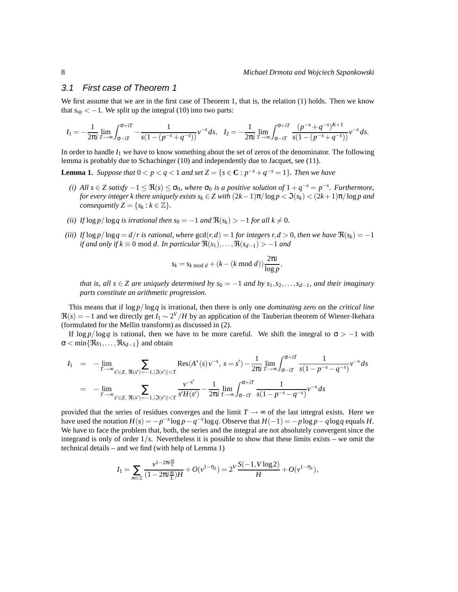#### 3.1 First case of Theorem 1

We first assume that we are in the first case of Theorem 1, that is, the relation (1) holds. Then we know that  $s_{sp} < -1$ . We split up the integral (10) into two parts:

$$
I_1 = -\frac{1}{2\pi i} \lim_{T \to \infty} \int_{\sigma - iT}^{\sigma + iT} -\frac{1}{s(1 - (p^{-s} + q^{-s}))} v^{-s} ds, \quad I_2 = -\frac{1}{2\pi i} \lim_{T \to \infty} \int_{\sigma - iT}^{\sigma + iT} \frac{(p^{-s} + q^{-s})^{K+1}}{s(1 - (p^{-s} + q^{-s}))} v^{-s} ds.
$$

In order to handle  $I_1$  we have to know something about the set of zeros of the denominator. The following lemma is probably due to Schachinger (10) and independently due to Jacquet, see (11).

**Lemma 1.** *Suppose that*  $0 < p < q < 1$  *and set*  $Z = \{s \in \mathbb{C} : p^{-s} + q^{-s} = 1\}$ *. Then we have* 

- *(i)* All  $s \in \mathbb{Z}$  satisfy  $-1 \leq \Re(s) \leq \sigma_0$ , where  $\sigma_0$  is a positive solution of  $1 + q^{-s} = p^{-s}$ . Furthermore, *for every integer k there uniquely exists*  $s_k \in Z$  *with*  $(2k-1)\pi/\log p < \Im(s_k) < (2k+1)\pi/\log p$  *and consequently*  $Z = \{s_k : k \in \mathbb{Z}\}.$
- *(ii) If*  $\log p / \log q$  *is irrational then*  $s_0 = -1$  *and*  $\Re(s_k) > -1$  *for all*  $k \neq 0$ *.*
- *(iii)* If  $\log p / \log q = d/r$  is rational, where  $\gcd(r, d) = 1$  *for integers r*,  $d > 0$ *, then we have*  $\Re(s_k) = -1$ *if and only if*  $k \equiv 0 \text{ mod } d$ . *In particular*  $\Re(s_1), \ldots, \Re(s_{d-1}) > -1$  *and*

$$
s_k = s_{k \bmod d} + (k - (k \bmod d)) \frac{2\pi i}{\log p},
$$

*that is, all s* ∈ *Z* are uniquely determined by  $s_0 = -1$  and by  $s_1, s_2, \ldots, s_{d-1}$ , and their imaginary *parts constitute an arithmetic progression.*

This means that if log *p*/log*q* is irrational, then there is only one *dominating zero* on the *critical line*  $\Re(s) = -1$  and we directly get  $I_1 \sim 2^V / H$  by an application of the Tauberian theorem of Wiener-Ikehara (formulated for the Mellin transform) as discussed in (2).

If  $\log p / \log q$  is rational, then we have to be more careful. We shift the integral to  $\sigma > -1$  with  $\sigma$  < min{ $\Re s_1, \ldots, \Re s_{d-1}$ } and obtain

$$
I_1 = -\lim_{T \to \infty} \sum_{s' \in Z, \ \Re(s') = -1, |\Im(s')| < T} \text{Res}(A^*(s) \, v^{-s}, \ s = s') - \frac{1}{2\pi i} \lim_{T \to \infty} \int_{\sigma - iT}^{\sigma + iT} \frac{1}{s(1 - p^{-s} - q^{-s})} v^{-s} \, ds
$$
\n
$$
= -\lim_{T \to \infty} \sum_{s' \in Z, \ \Re(s') = -1, |\Im(s')| < T} \frac{v^{-s'}}{s'H(s')} - \frac{1}{2\pi i} \lim_{T \to \infty} \int_{\sigma - iT}^{\sigma + iT} \frac{1}{s(1 - p^{-s} - q^{-s})} v^{-s} \, ds
$$

provided that the series of residues converges and the limit  $T \rightarrow \infty$  of the last integral exists. Here we have used the notation  $H(s) = -p^{-s} \log p - q^{-s} \log q$ . Observe that  $H(-1) = -p \log p - q \log q$  equals *H*. We have to face the problem that, both, the series and the integral are not absolutely convergent since the integrand is only of order 1/*s*. Nevertheless it is possible to show that these limits exists – we omit the technical details – and we find (with help of Lemma 1)

$$
I_1 = \sum_{m \in \mathbb{Z}} \frac{\nu^{1-2\pi i \frac{m}{L}}}{(1 - 2\pi i \frac{m}{L})H} + O(\nu^{1-\eta_1}) = 2^V \frac{S(-1, V \log 2)}{H} + O(\nu^{1-\eta_1}),
$$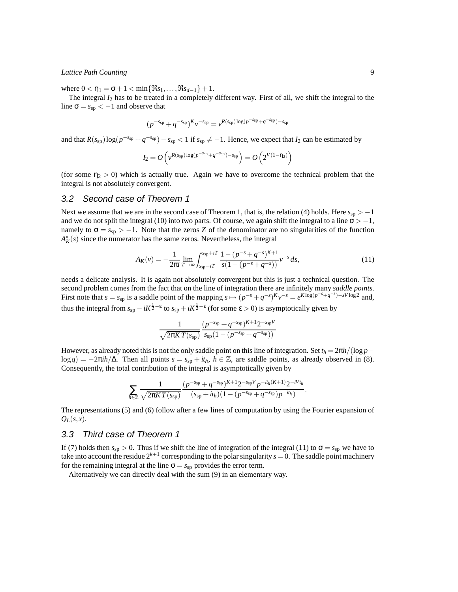#### *Lattice Path Counting* 9

where  $0 < \eta_1 = \sigma + 1 < \min\{\Re s_1, \ldots, \Re s_{d-1}\} + 1$ .

The integral *I*<sup>2</sup> has to be treated in a completely different way. First of all, we shift the integral to the line  $\sigma = s_{sp} < -1$  and observe that

$$
(p^{-s_{\rm sp}}+q^{-s_{\rm sp}})^K v^{-s_{\rm sp}}=v^{R(s_{\rm sp})\log(p^{-s_{\rm sp}}+q^{-s_{\rm sp}})-s_{\rm sp}}
$$

and that  $R(s_{sp})\log(p^{-s_{sp}} + q^{-s_{sp}}) - s_{sp} < 1$  if  $s_{sp} \neq -1$ . Hence, we expect that  $I_2$  can be estimated by

$$
I_2 = O\left(v^{R(s_{\text{sp}})\log(p^{-s_{\text{sp}}}+q^{-s_{\text{sp}}})-s_{\text{sp}}}\right) = O\left(2^{V(1-\eta_2)}\right)
$$

(for some  $\eta_2 > 0$ ) which is actually true. Again we have to overcome the technical problem that the integral is not absolutely convergent.

#### 3.2 Second case of Theorem 1

Next we assume that we are in the second case of Theorem 1, that is, the relation (4) holds. Here *s*<sub>sp</sub> > −1 and we do not split the integral (10) into two parts. Of course, we again shift the integral to a line  $\sigma$  > −1, namely to  $\sigma = s_{sp} > -1$ . Note that the zeros *Z* of the denominator are no singularities of the function  $A_K^*(s)$  since the numerator has the same zeros. Nevertheless, the integral

$$
A_K(v) = -\frac{1}{2\pi i} \lim_{T \to \infty} \int_{s_{sp} - iT}^{s_{sp} + iT} \frac{1 - (p^{-s} + q^{-s})^{K+1}}{s(1 - (p^{-s} + q^{-s}))} v^{-s} ds,
$$
\n(11)

needs a delicate analysis. It is again not absolutely convergent but this is just a technical question. The second problem comes from the fact that on the line of integration there are infinitely many *saddle points*. First note that  $s = s_{sp}$  is a saddle point of the mapping  $s \mapsto (p^{-s} + q^{-s})^K v^{-s} = e^{K \log(p^{-s} + q^{-s}) - sV \log 2}$  and, thus the integral from  $s_{sp} - iK^{\frac{1}{2} - \epsilon}$  to  $s_{sp} + iK^{\frac{1}{2} - \epsilon}$  (for some  $\epsilon > 0$ ) is asymptotically given by

$$
\frac{1}{\sqrt{2\pi KT(s_{\rm sp})}}\frac{(p^{-s_{\rm sp}}+q^{-s_{\rm sp}})^{K+1}2^{-s_{\rm sp}V}}{(s_{\rm sp}(1-(p^{-s_{\rm sp}}+q^{-s_{\rm sp}}))}
$$

However, as already noted this is not the only saddle point on this line of integration. Set  $t_h = 2\pi h/(\log p$ log*q*) = −2π*ih*/Δ. Then all points  $s = s_{sp} + it_h$ ,  $h \in \mathbb{Z}$ , are saddle points, as already observed in (8). Consequently, the total contribution of the integral is asymptotically given by

$$
\sum_{h\in\mathbb{Z}}\frac{1}{\sqrt{2\pi KT(s_{sp})}}\frac{(p^{-s_{sp}}+q^{-s_{sp}})^{K+1}2^{-s_{sp}V}p^{-it_{h}(K+1)}2^{-iVt_{h}}}{(s_{sp}+it_{h})(1-(p^{-s_{sp}}+q^{-s_{sp}})p^{-it_{h}})}.
$$

The representations (5) and (6) follow after a few lines of computation by using the Fourier expansion of  $Q_L(s,x)$ .

#### 3.3 Third case of Theorem 1

If (7) holds then  $s_{sp} > 0$ . Thus if we shift the line of integration of the integral (11) to  $\sigma = s_{sp}$  we have to take into account the residue  $2^{k+1}$  corresponding to the polar singularity  $s = 0$ . The saddle point machinery for the remaining integral at the line  $\sigma = s_{sp}$  provides the error term.

Alternatively we can directly deal with the sum (9) in an elementary way.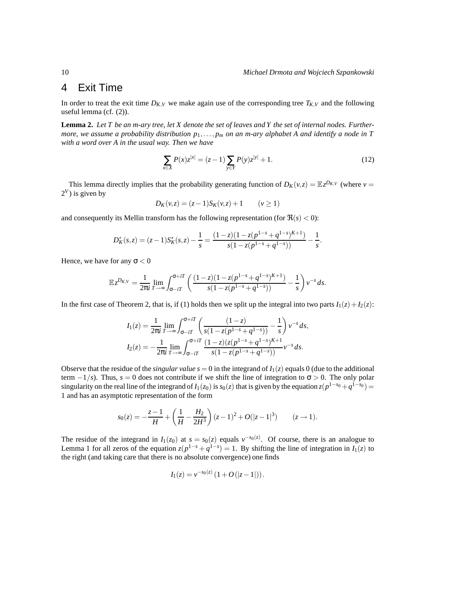## 4 Exit Time

In order to treat the exit time  $D_{K,V}$  we make again use of the corresponding tree  $T_{K,V}$  and the following useful lemma (cf. (2)).

**Lemma 2.** *Let T be an m-ary tree, let X denote the set of leaves and Y the set of internal nodes. Furthermore, we assume a probability distribution p*1,..., *p<sup>m</sup> on an m-ary alphabet A and identify a node in T with a word over A in the usual way. Then we have*

$$
\sum_{x \in X} P(x) z^{|x|} = (z - 1) \sum_{y \in Y} P(y) z^{|y|} + 1.
$$
 (12)

This lemma directly implies that the probability generating function of  $D_K(v, z) = \mathbb{E} z^{D_{K,V}}$  (where  $v =$  $2^V$ ) is given by

$$
D_K(v, z) = (z - 1)S_K(v, z) + 1 \qquad (v \ge 1)
$$

and consequently its Mellin transform has the following representation (for  $\Re(s) < 0$ ):

$$
D_K^*(s, z) = (z - 1)S_K^*(s, z) - \frac{1}{s} = \frac{(1 - z)(1 - z(p^{1 - s} + q^{1 - s})^{K + 1})}{s(1 - z(p^{1 - s} + q^{1 - s}))} - \frac{1}{s}.
$$

Hence, we have for any  $\sigma < 0$ 

$$
\mathbb{E}z^{D_{K,V}} = \frac{1}{2\pi i} \lim_{T \to \infty} \int_{\sigma - iT}^{\sigma + iT} \left( \frac{(1-z)(1-z(p^{1-s}+q^{1-s})^{K+1})}{s(1-z(p^{1-s}+q^{1-s}))} - \frac{1}{s} \right) v^{-s} ds.
$$

In the first case of Theorem 2, that is, if (1) holds then we split up the integral into two parts  $I_1(z) + I_2(z)$ :

$$
I_1(z) = \frac{1}{2\pi i} \lim_{T \to \infty} \int_{\sigma - iT}^{\sigma + iT} \left( \frac{(1-z)}{s(1-z(p^{1-s}+q^{1-s}))} - \frac{1}{s} \right) v^{-s} ds,
$$
  

$$
I_2(z) = -\frac{1}{2\pi i} \lim_{T \to \infty} \int_{\sigma - iT}^{\sigma + iT} \frac{(1-z)(z(p^{1-s}+q^{1-s})^{K+1})}{s(1-z(p^{1-s}+q^{1-s}))} v^{-s} ds.
$$

Observe that the residue of the *singular value*  $s = 0$  in the integrand of  $I_1(z)$  equals 0 (due to the additional term  $-1/s$ ). Thus,  $s = 0$  does not contribute if we shift the line of integration to  $\sigma > 0$ . The only polar singularity on the real line of the integrand of  $I_1(z_0)$  is  $s_0(z)$  that is given by the equation  $z(p^{1-s_0} + q^{1-s_0}) =$ 1 and has an asymptotic representation of the form

$$
s_0(z) = -\frac{z-1}{H} + \left(\frac{1}{H} - \frac{H_2}{2H^3}\right)(z-1)^2 + O(|z-1|^3) \qquad (z \to 1).
$$

The residue of the integrand in  $I_1(z_0)$  at  $s = s_0(z)$  equals  $v^{-s_0(z)}$ . Of course, there is an analogue to Lemma 1 for all zeros of the equation  $z(p^{1-s} + q^{1-s}) = 1$ . By shifting the line of integration in  $I_1(z)$  to the right (and taking care that there is no absolute convergence) one finds

$$
I_1(z) = v^{-s_0(z)} (1 + O(|z - 1|)).
$$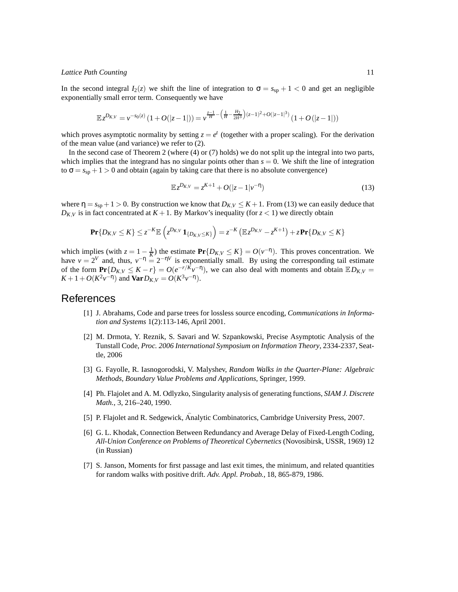#### *Lattice Path Counting* 11

In the second integral  $I_2(z)$  we shift the line of integration to  $\sigma = s_{sp} + 1 < 0$  and get an negligible exponentially small error term. Consequently we have

$$
\mathbb{E}z^{D_{K,V}} = v^{-s_0(z)}\left(1 + O(|z-1|)\right) = v^{\frac{z-1}{H} - \left(\frac{1}{H} - \frac{H_2}{2H^3}\right)(z-1)^2 + O(|z-1|^3)}\left(1 + O(|z-1|)\right)
$$

which proves asymptotic normality by setting  $z = e^t$  (together with a proper scaling). For the derivation of the mean value (and variance) we refer to (2).

In the second case of Theorem 2 (where (4) or (7) holds) we do not split up the integral into two parts, which implies that the integrand has no singular points other than  $s = 0$ . We shift the line of integration to  $\sigma = s_{sp} + 1 > 0$  and obtain (again by taking care that there is no absolute convergence)

$$
\mathbb{E}z^{D_{K,V}} = z^{K+1} + O(|z-1|\nu^{-\eta})
$$
\n(13)

where  $\eta = s_{sp} + 1 > 0$ . By construction we know that  $D_{K,V} \leq K + 1$ . From (13) we can easily deduce that  $D_{K,V}$  is in fact concentrated at  $K + 1$ . By Markov's inequality (for  $z < 1$ ) we directly obtain

$$
\mathbf{Pr}\{D_{K,V}\leq K\}\leq z^{-K}\mathbb{E}\left(z^{D_{K,V}}\mathbf{1}_{\{D_{K,V}\leq K\}}\right)=z^{-K}\left(\mathbb{E}z^{D_{K,V}}-z^{K+1}\right)+z\mathbf{Pr}\{D_{K,V}\leq K\}
$$

which implies (with  $z = 1 - \frac{1}{K}$ ) the estimate  $\Pr\{D_{K,V} \le K\} = O(\nu^{-\eta})$ . This proves concentration. We have  $v = 2^V$  and, thus,  $v^{-\eta} = 2^{-\eta V}$  is exponentially small. By using the corresponding tail estimate of the form  $\mathbf{Pr}\{D_{K,V} \leq K - r\} = O(e^{-r/K}v^{-n})$ , we can also deal with moments and obtain  $\mathbb{E}D_{K,V} =$  $K + 1 + O(K^2 \nu^{-\eta})$  and **Var**  $D_{K,V} = O(K^3 \nu^{-\eta})$ .

### References

- [1] J. Abrahams, Code and parse trees for lossless source encoding, *Communications in Information and Systems* 1(2):113-146, April 2001.
- [2] M. Drmota, Y. Reznik, S. Savari and W. Szpankowski, Precise Asymptotic Analysis of the Tunstall Code, *Proc. 2006 International Symposium on Information Theory*, 2334-2337, Seattle, 2006
- [3] G. Fayolle, R. Iasnogorodski, V. Malyshev, *Random Walks in the Quarter-Plane: Algebraic Methods, Boundary Value Problems and Applications*, Springer, 1999.
- [4] Ph. Flajolet and A. M. Odlyzko, Singularity analysis of generating functions, *SIAM J. Discrete Math.*, 3, 216–240, 1990.
- [5] P. Flajolet and R. Sedgewick,  $\hat{A}$ nalytic Combinatorics, Cambridge University Press, 2007.
- [6] G. L. Khodak, Connection Between Redundancy and Average Delay of Fixed-Length Coding, *All-Union Conference on Problems of Theoretical Cybernetics* (Novosibirsk, USSR, 1969) 12 (in Russian)
- [7] S. Janson, Moments for first passage and last exit times, the minimum, and related quantities for random walks with positive drift. *Adv. Appl. Probab.*, 18, 865-879, 1986.